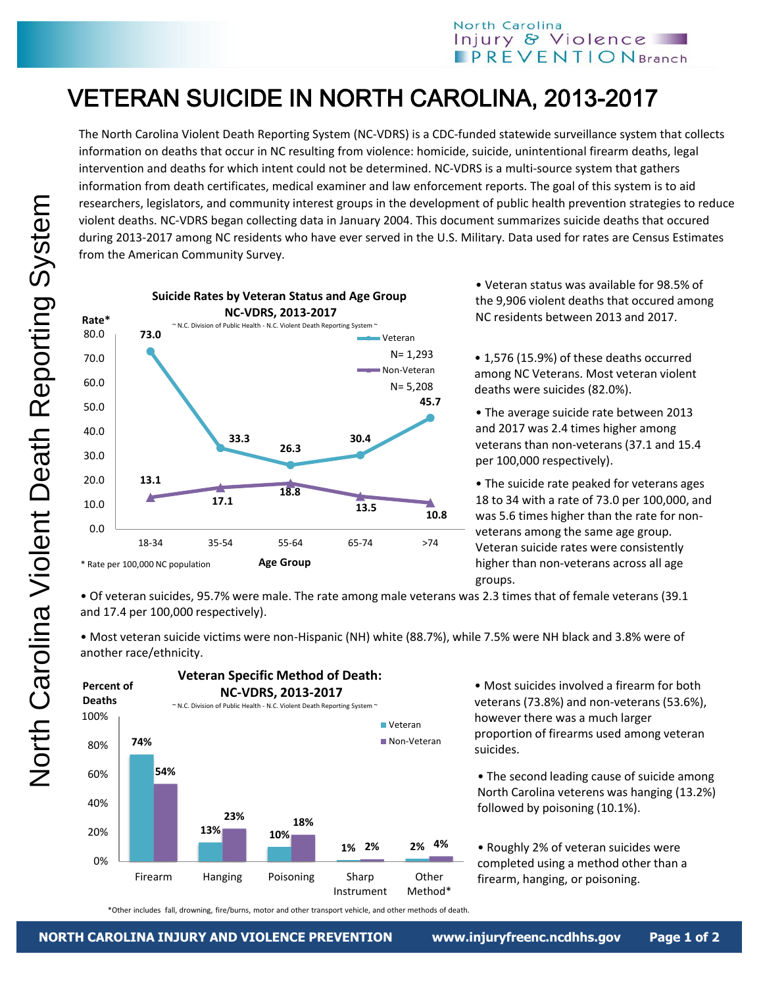## North Carolina Injury & Violence  $\blacksquare$  PREVENTION Branch

## VETERAN SUICIDE IN NORTH CAROLINA, 2013-2017

The North Carolina Violent Death Reporting System (NC-VDRS) is a CDC-funded statewide surveillance system that collects information on deaths that occur in NC resulting from violence: homicide, suicide, unintentional firearm deaths, legal intervention and deaths for which intent could not be determined. NC-VDRS is a multi-source system that gathers information from death certificates, medical examiner and law enforcement reports. The goal of this system is to aid researchers, legislators, and community interest groups in the development of public health prevention strategies to reduce violent deaths. NC-VDRS began collecting data in January 2004. This document summarizes suicide deaths that occured during 2013-2017 among NC residents who have ever served in the U.S. Military. Data used for rates are Census Estimates from the American Community Survey.



• Veteran status was available for 98.5% of the 9,906 violent deaths that occured among NC residents between 2013 and 2017.

• 1,576 (15.9%) of these deaths occurred among NC Veterans. Most veteran violent deaths were suicides (82.0%).

• The average suicide rate between 2013 and 2017 was 2.4 times higher among veterans than non-veterans (37.1 and 15.4 per 100,000 respectively).

• The suicide rate peaked for veterans ages 18 to 34 with a rate of 73.0 per 100,000, and was 5.6 times higher than the rate for nonveterans among the same age group. Veteran suicide rates were consistently higher than non-veterans across all age groups.

• Of veteran suicides, 95.7% were male. The rate among male veterans was 2.3 times that of female veterans (39.1 and 17.4 per 100,000 respectively).

• Most veteran suicide victims were non-Hispanic (NH) white (88.7%), while 7.5% were NH black and 3.8% were of another race/ethnicity.



• Most suicides involved a firearm for both veterans (73.8%) and non-veterans (53.6%), however there was a much larger proportion of firearms used among veteran suicides.

• The second leading cause of suicide among North Carolina veterens was hanging (13.2%) followed by poisoning (10.1%).

• Roughly 2% of veteran suicides were completed using a method other than a firearm, hanging, or poisoning.

\*Other includes fall, drowning, fire/burns, motor and other transport vehicle, and other methods of death.